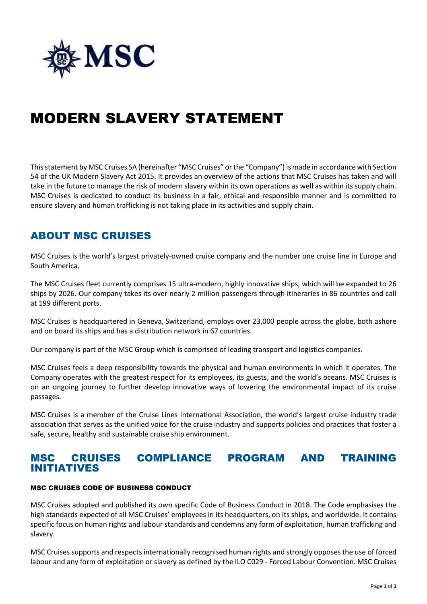

# MODERN SLAVERY STATEMENT

This statement by MSC Cruises SA (hereinafter "MSC Cruises" or the "Company") is made in accordance with Section 54 of the UK Modern Slavery Act 2015. It provides an overview of the actions that MSC Cruises has taken and will take in the future to manage the risk of modern slavery within its own operations as well as within its supply chain. MSC Cruises is dedicated to conduct its business in a fair, ethical and responsible manner and is committed to ensure slavery and human trafficking is not taking place in its activities and supply chain.

## ABOUT MSC CRUISES

MSC Cruises is the world's largest privately-owned cruise company and the number one cruise line in Europe and South America.

The MSC Cruises fleet currently comprises 15 ultra-modern, highly innovative ships, which will be expanded to 26 ships by 2026. Our company takes its over nearly 2 million passengers through itineraries in 86 countries and call at 199 different ports.

MSC Cruises is headquartered in Geneva, Switzerland, employs over 23,000 people across the globe, both ashore and on board its ships and has a distribution network in 67 countries.

Our company is part of the MSC Group which is comprised of leading transport and logistics companies.

MSC Cruises feels a deep responsibility towards the physical and human environments in which it operates. The Company operates with the greatest respect for its employees, its guests, and the world's oceans. MSC Cruises is on an ongoing journey to further develop innovative ways of lowering the environmental impact of its cruise passages.

MSC Cruises is a member of the Cruise Lines International Association, the world's largest cruise industry trade association that serves as the unified voice for the cruise industry and supports policies and practices that foster a safe, secure, healthy and sustainable cruise ship environment.

### MSC CRUISES COMPLIANCE PROGRAM AND TRAINING INITIATIVES

#### MSC CRUISES CODE OF BUSINESS CONDUCT

MSC Cruises adopted and published its own specific Code of Business Conduct in 2018. The Code emphasises the high standards expected of all MSC Cruises' employees in its headquarters, on its ships, and worldwide. It contains specific focus on human rights and labour standards and condemns any form of exploitation, human trafficking and slavery.

MSC Cruises supports and respects internationally recognised human rights and strongly opposes the use of forced labour and any form of exploitation or slavery as defined by the ILO C029 - Forced Labour Convention. MSC Cruises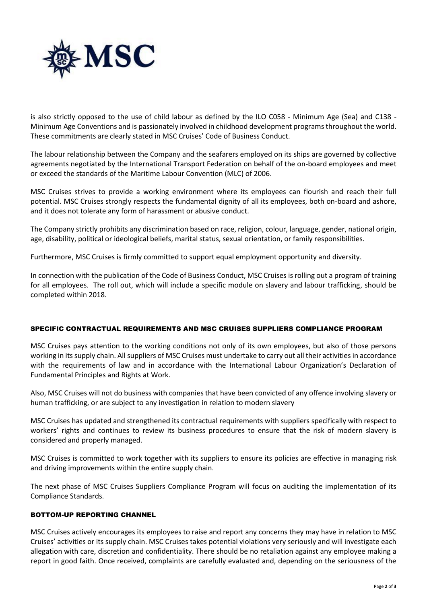

is also strictly opposed to the use of child labour as defined by the ILO C058 - Minimum Age (Sea) and C138 - Minimum Age Conventions and is passionately involved in childhood development programs throughout the world. These commitments are clearly stated in MSC Cruises' Code of Business Conduct.

The labour relationship between the Company and the seafarers employed on its ships are governed by collective agreements negotiated by the International Transport Federation on behalf of the on-board employees and meet or exceed the standards of the Maritime Labour Convention (MLC) of 2006.

MSC Cruises strives to provide a working environment where its employees can flourish and reach their full potential. MSC Cruises strongly respects the fundamental dignity of all its employees, both on-board and ashore, and it does not tolerate any form of harassment or abusive conduct.

The Company strictly prohibits any discrimination based on race, religion, colour, language, gender, national origin, age, disability, political or ideological beliefs, marital status, sexual orientation, or family responsibilities.

Furthermore, MSC Cruises is firmly committed to support equal employment opportunity and diversity.

In connection with the publication of the Code of Business Conduct, MSC Cruises is rolling out a program of training for all employees. The roll out, which will include a specific module on slavery and labour trafficking, should be completed within 2018.

#### SPECIFIC CONTRACTUAL REQUIREMENTS AND MSC CRUISES SUPPLIERS COMPLIANCE PROGRAM

MSC Cruises pays attention to the working conditions not only of its own employees, but also of those persons working in its supply chain. All suppliers of MSC Cruises must undertake to carry out all their activities in accordance with the requirements of law and in accordance with the International Labour Organization's Declaration of Fundamental Principles and Rights at Work.

Also, MSC Cruises will not do business with companies that have been convicted of any offence involving slavery or human trafficking, or are subject to any investigation in relation to modern slavery

MSC Cruises has updated and strengthened its contractual requirements with suppliers specifically with respect to workers' rights and continues to review its business procedures to ensure that the risk of modern slavery is considered and properly managed.

MSC Cruises is committed to work together with its suppliers to ensure its policies are effective in managing risk and driving improvements within the entire supply chain.

The next phase of MSC Cruises Suppliers Compliance Program will focus on auditing the implementation of its Compliance Standards.

#### BOTTOM-UP REPORTING CHANNEL

MSC Cruises actively encourages its employees to raise and report any concerns they may have in relation to MSC Cruises' activities or its supply chain. MSC Cruises takes potential violations very seriously and will investigate each allegation with care, discretion and confidentiality. There should be no retaliation against any employee making a report in good faith. Once received, complaints are carefully evaluated and, depending on the seriousness of the